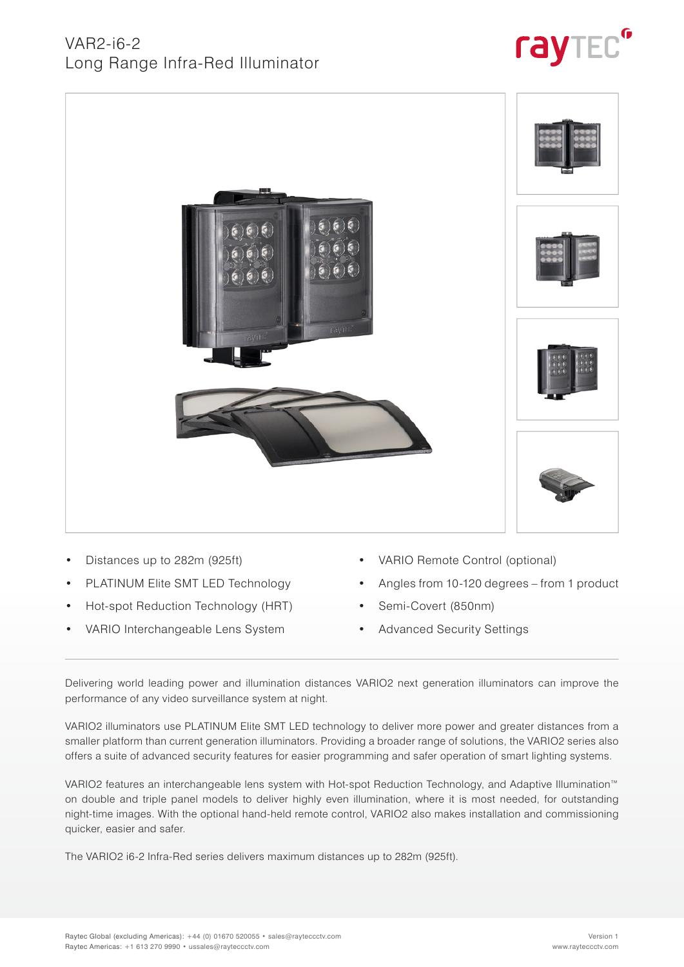



- Distances up to 282m (925ft)
- PLATINUM Elite SMT LED Technology
- Hot-spot Reduction Technology (HRT)
- VARIO Interchangeable Lens System
- VARIO Remote Control (optional)
- Angles from 10-120 degrees from 1 product
- Semi-Covert (850nm)
- Advanced Security Settings

Delivering world leading power and illumination distances VARIO2 next generation illuminators can improve the performance of any video surveillance system at night.

VARIO2 illuminators use PLATINUM Elite SMT LED technology to deliver more power and greater distances from a smaller platform than current generation illuminators. Providing a broader range of solutions, the VARIO2 series also offers a suite of advanced security features for easier programming and safer operation of smart lighting systems.

VARIO2 features an interchangeable lens system with Hot-spot Reduction Technology, and Adaptive Illumination™ on double and triple panel models to deliver highly even illumination, where it is most needed, for outstanding night-time images. With the optional hand-held remote control, VARIO2 also makes installation and commissioning quicker, easier and safer.

The VARIO2 i6-2 Infra-Red series delivers maximum distances up to 282m (925ft).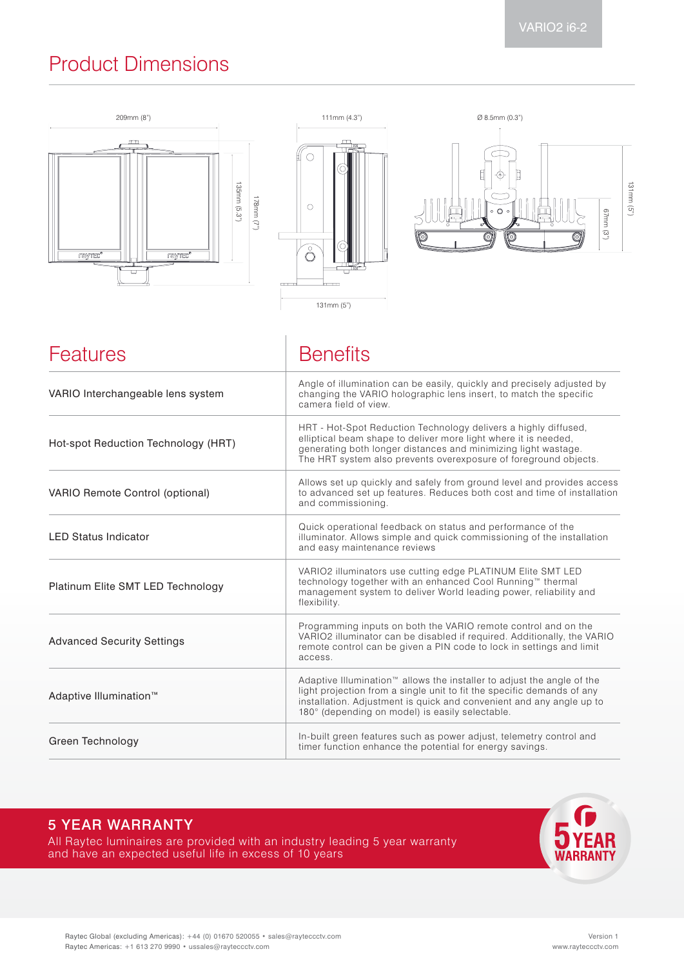# Product Dimensions



| <b>Features</b>                        | <b>Benefits</b>                                                                                                                                                                                                                                                                         |
|----------------------------------------|-----------------------------------------------------------------------------------------------------------------------------------------------------------------------------------------------------------------------------------------------------------------------------------------|
| VARIO Interchangeable lens system      | Angle of illumination can be easily, quickly and precisely adjusted by<br>changing the VARIO holographic lens insert, to match the specific<br>camera field of view.                                                                                                                    |
| Hot-spot Reduction Technology (HRT)    | HRT - Hot-Spot Reduction Technology delivers a highly diffused,<br>elliptical beam shape to deliver more light where it is needed,<br>generating both longer distances and minimizing light wastage.<br>The HRT system also prevents overexposure of foreground objects.                |
| <b>VARIO Remote Control (optional)</b> | Allows set up quickly and safely from ground level and provides access<br>to advanced set up features. Reduces both cost and time of installation<br>and commissioning.                                                                                                                 |
| <b>LED Status Indicator</b>            | Quick operational feedback on status and performance of the<br>illuminator. Allows simple and quick commissioning of the installation<br>and easy maintenance reviews                                                                                                                   |
| Platinum Elite SMT LED Technology      | VARIO2 illuminators use cutting edge PLATINUM Elite SMT LED<br>technology together with an enhanced Cool Running™ thermal<br>management system to deliver World leading power, reliability and<br>flexibility.                                                                          |
| <b>Advanced Security Settings</b>      | Programming inputs on both the VARIO remote control and on the<br>VARIO2 illuminator can be disabled if required. Additionally, the VARIO<br>remote control can be given a PIN code to lock in settings and limit<br>access.                                                            |
| Adaptive Illumination <sup>™</sup>     | Adaptive Illumination <sup>™</sup> allows the installer to adjust the angle of the<br>light projection from a single unit to fit the specific demands of any<br>installation. Adjustment is quick and convenient and any angle up to<br>180° (depending on model) is easily selectable. |
| Green Technology                       | In-built green features such as power adjust, telemetry control and<br>timer function enhance the potential for energy savings.                                                                                                                                                         |

### 5 YEAR WARRANTY

All Raytec luminaires are provided with an industry leading 5 year warranty and have an expected useful life in excess of 10 years